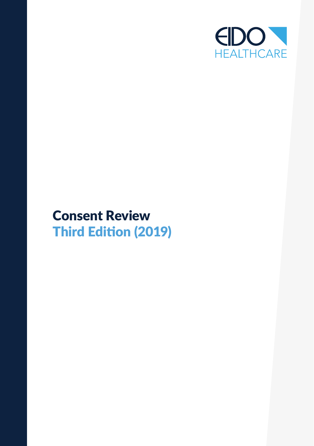

# Consent Review Third Edition (2019)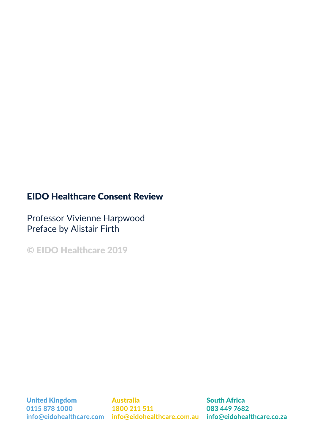# EIDO Healthcare Consent Review

Professor Vivienne Harpwood Preface by Alistair Firth

© EIDO Healthcare 2019

United Kingdom **0115 878 1000**

**info@eidohealthcare.com info@eidohealthcare.com.au info@eidohealthcare.co.zaAustralia 1800 211 511**

South Africa **083 449 7682**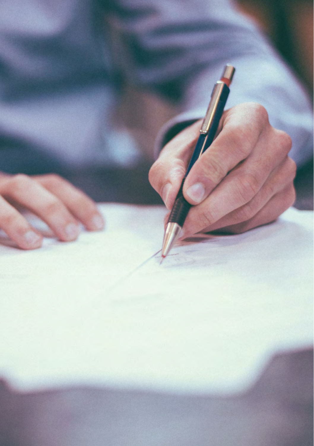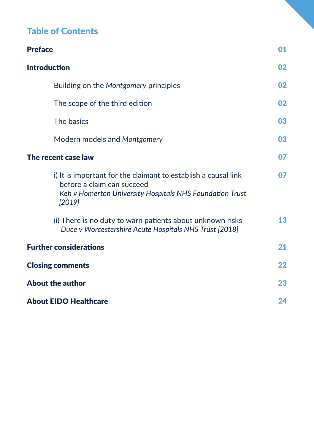# Table of Contents

| <b>Preface</b>                                                                                                                                                     | 01      |
|--------------------------------------------------------------------------------------------------------------------------------------------------------------------|---------|
| <b>Introduction</b>                                                                                                                                                | 02      |
| Building on the Montgomery principles                                                                                                                              | 02      |
| The scope of the third edition                                                                                                                                     | 02      |
| The basics                                                                                                                                                         | 03      |
| Modern models and Montgomery                                                                                                                                       | 03      |
| The recent case law                                                                                                                                                | 07      |
| i) It is important for the claimant to establish a causal link<br>before a claim can succeed<br>Keh v Homerton University Hospitals NHS Foundation Trust<br>[2019] | 07      |
| ii) There is no duty to warn patients about unknown risks<br>Duce v Worcestershire Acute Hospitals NHS Trust [2018]                                                | 13      |
| <b>Further considerations</b>                                                                                                                                      | 21      |
| <b>Closing comments</b>                                                                                                                                            | $22 \,$ |
| <b>About the author</b>                                                                                                                                            | 23      |
| <b>About EIDO Healthcare</b>                                                                                                                                       | 24      |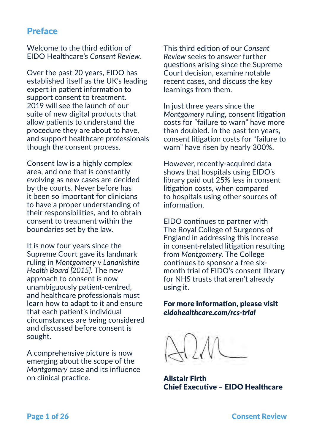# Preface

Welcome to the third edition of EIDO Healthcare's *Consent Review*.

Over the past 20 years, EIDO has established itself as the UK's leading expert in patient information to support consent to treatment. 2019 will see the launch of our suite of new digital products that allow patients to understand the procedure they are about to have, and support healthcare professionals though the consent process.

Consent law is a highly complex area, and one that is constantly evolving as new cases are decided by the courts. Never before has it been so important for clinicians to have a proper understanding of their responsibilities, and to obtain consent to treatment within the boundaries set by the law.

It is now four years since the Supreme Court gave its landmark ruling in *Montgomery v Lanarkshire Health Board [2015]*. The new approach to consent is now unambiguously patient-centred, and healthcare professionals must learn how to adapt to it and ensure that each patient's individual circumstances are being considered and discussed before consent is sought.

A comprehensive picture is now emerging about the scope of the *Montgomery* case and its influence on clinical practice.

This third edition of our *Consent Review* seeks to answer further questions arising since the Supreme Court decision, examine notable recent cases, and discuss the key learnings from them.

In just three years since the *Montgomery* ruling, consent litigation costs for "failure to warn" have more than doubled. In the past ten years, consent litigation costs for "failure to warn" have risen by nearly 300%.

However, recently-acquired data shows that hospitals using EIDO's library paid out 25% less in consent litigation costs, when compared to hospitals using other sources of information.

EIDO continues to partner with The Royal College of Surgeons of England in addressing this increase in consent-related litigation resulting from *Montgomery*. The College continues to sponsor a free sixmonth trial of EIDO's consent library for NHS trusts that aren't already using it.

For more information, please visit *eidohealthcare.com/rcs-trial* 

Alistair Firth Chief Executive – EIDO Healthcare

Page 1 of 26 Consent Review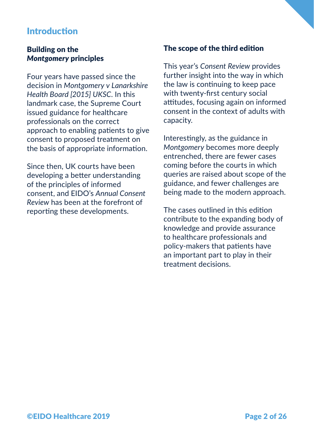# Introduction

#### Building on the *Montgomery* principles

Four years have passed since the decision in *Montgomery v Lanarkshire Health Board [2015] UKSC*. In this landmark case, the Supreme Court issued guidance for healthcare professionals on the correct approach to enabling patients to give consent to proposed treatment on the basis of appropriate information.

Since then, UK courts have been developing a better understanding of the principles of informed consent, and EIDO's *Annual Consent Review* has been at the forefront of reporting these developments.

#### The scope of the third edition

This year's *Consent Review* provides further insight into the way in which the law is continuing to keep pace with twenty-first century social attitudes, focusing again on informed consent in the context of adults with capacity.

Interestingly, as the guidance in *Montgomery* becomes more deeply entrenched, there are fewer cases coming before the courts in which queries are raised about scope of the guidance, and fewer challenges are being made to the modern approach.

The cases outlined in this edition contribute to the expanding body of knowledge and provide assurance to healthcare professionals and policy-makers that patients have an important part to play in their treatment decisions.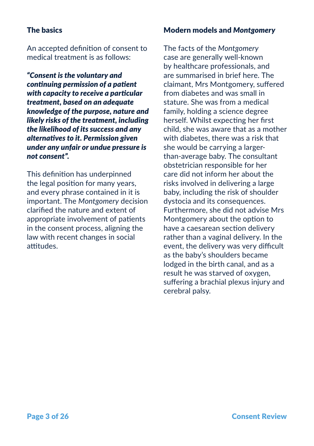#### The basics

An accepted definition of consent to medical treatment is as follows:

*"Consent is the voluntary and continuing permission of a patient with capacity to receive a particular treatment, based on an adequate knowledge of the purpose, nature and likely risks of the treatment, including the likelihood of its success and any alternatives to it. Permission given under any unfair or undue pressure is not consent".*

This definition has underpinned the legal position for many years, and every phrase contained in it is important. The *Montgomery* decision clarified the nature and extent of appropriate involvement of patients in the consent process, aligning the law with recent changes in social attitudes.

#### Modern models and *Montgomery*

The facts of the *Montgomery* case are generally well-known by healthcare professionals, and are summarised in brief here. The claimant, Mrs Montgomery, suffered from diabetes and was small in stature. She was from a medical family, holding a science degree herself. Whilst expecting her first child, she was aware that as a mother with diabetes, there was a risk that she would be carrying a largerthan-average baby. The consultant obstetrician responsible for her care did not inform her about the risks involved in delivering a large baby, including the risk of shoulder dystocia and its consequences. Furthermore, she did not advise Mrs Montgomery about the option to have a caesarean section delivery rather than a vaginal delivery. In the event, the delivery was very difficult as the baby's shoulders became lodged in the birth canal, and as a result he was starved of oxygen, suffering a brachial plexus injury and cerebral palsy.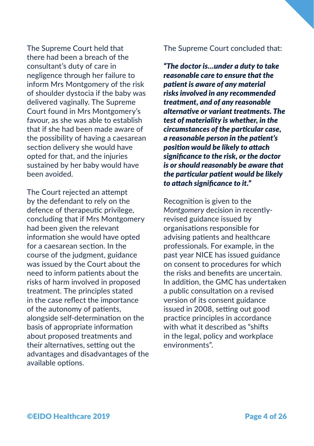The Supreme Court held that there had been a breach of the consultant's duty of care in negligence through her failure to inform Mrs Montgomery of the risk of shoulder dystocia if the baby was delivered vaginally. The Supreme Court found in Mrs Montgomery's favour, as she was able to establish that if she had been made aware of the possibility of having a caesarean section delivery she would have opted for that, and the injuries sustained by her baby would have been avoided.

The Court rejected an attempt by the defendant to rely on the defence of therapeutic privilege, concluding that if Mrs Montgomery had been given the relevant information she would have opted for a caesarean section. In the course of the judgment, guidance was issued by the Court about the need to inform patients about the risks of harm involved in proposed treatment. The principles stated in the case reflect the importance of the autonomy of patients, alongside self-determination on the basis of appropriate information about proposed treatments and their alternatives, setting out the advantages and disadvantages of the available options.

#### The Supreme Court concluded that:

*"The doctor is…under a duty to take reasonable care to ensure that the patient is aware of any material risks involved in any recommended treatment, and of any reasonable alternative or variant treatments. The test of materiality is whether, in the circumstances of the particular case, a reasonable person in the patient's position would be likely to attach significance to the risk, or the doctor is or should reasonably be aware that the particular patient would be likely to attach significance to it."*

Recognition is given to the *Montgomery* decision in recentlyrevised guidance issued by organisations responsible for advising patients and healthcare professionals. For example, in the past year NICE has issued guidance on consent to procedures for which the risks and benefits are uncertain. In addition, the GMC has undertaken a public consultation on a revised version of its consent guidance issued in 2008, setting out good practice principles in accordance with what it described as "shifts in the legal, policy and workplace environments".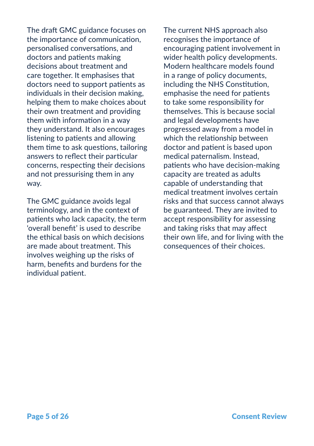The draft GMC guidance focuses on the importance of communication, personalised conversations, and doctors and patients making decisions about treatment and care together. It emphasises that doctors need to support patients as individuals in their decision making, helping them to make choices about their own treatment and providing them with information in a way they understand. It also encourages listening to patients and allowing them time to ask questions, tailoring answers to reflect their particular concerns, respecting their decisions and not pressurising them in any way.

The GMC guidance avoids legal terminology, and in the context of patients who lack capacity, the term 'overall benefit' is used to describe the ethical basis on which decisions are made about treatment. This involves weighing up the risks of harm, benefits and burdens for the individual patient.

The current NHS approach also recognises the importance of encouraging patient involvement in wider health policy developments. Modern healthcare models found in a range of policy documents, including the NHS Constitution, emphasise the need for patients to take some responsibility for themselves. This is because social and legal developments have progressed away from a model in which the relationship between doctor and patient is based upon medical paternalism. Instead, patients who have decision-making capacity are treated as adults capable of understanding that medical treatment involves certain risks and that success cannot always be guaranteed. They are invited to accept responsibility for assessing and taking risks that may affect their own life, and for living with the consequences of their choices.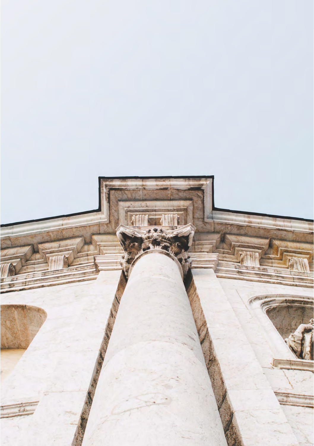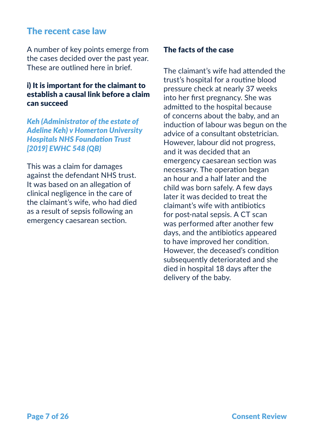# The recent case law

A number of key points emerge from the cases decided over the past year. These are outlined here in brief.

#### i) It is important for the claimant to establish a causal link before a claim can succeed

*Keh (Administrator of the estate of Adeline Keh) v Homerton University Hospitals NHS Foundation Trust [2019] EWHC 548 (QB)*

This was a claim for damages against the defendant NHS trust. It was based on an allegation of clinical negligence in the care of the claimant's wife, who had died as a result of sepsis following an emergency caesarean section.

#### The facts of the case

The claimant's wife had attended the trust's hospital for a routine blood pressure check at nearly 37 weeks into her first pregnancy. She was admitted to the hospital because of concerns about the baby, and an induction of labour was begun on the advice of a consultant obstetrician. However, labour did not progress, and it was decided that an emergency caesarean section was necessary. The operation began an hour and a half later and the child was born safely. A few days later it was decided to treat the claimant's wife with antibiotics for post-natal sepsis. A CT scan was performed after another few days, and the antibiotics appeared to have improved her condition. However, the deceased's condition subsequently deteriorated and she died in hospital 18 days after the delivery of the baby.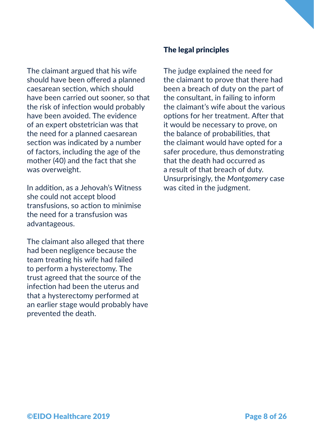The claimant argued that his wife should have been offered a planned caesarean section, which should have been carried out sooner, so that the risk of infection would probably have been avoided. The evidence of an expert obstetrician was that the need for a planned caesarean section was indicated by a number of factors, including the age of the mother (40) and the fact that she was overweight.

In addition, as a Jehovah's Witness she could not accept blood transfusions, so action to minimise the need for a transfusion was advantageous.

The claimant also alleged that there had been negligence because the team treating his wife had failed to perform a hysterectomy. The trust agreed that the source of the infection had been the uterus and that a hysterectomy performed at an earlier stage would probably have prevented the death.

#### The legal principles

The judge explained the need for the claimant to prove that there had been a breach of duty on the part of the consultant, in failing to inform the claimant's wife about the various options for her treatment. After that it would be necessary to prove, on the balance of probabilities, that the claimant would have opted for a safer procedure, thus demonstrating that the death had occurred as a result of that breach of duty. Unsurprisingly, the *Montgomery* case was cited in the judgment.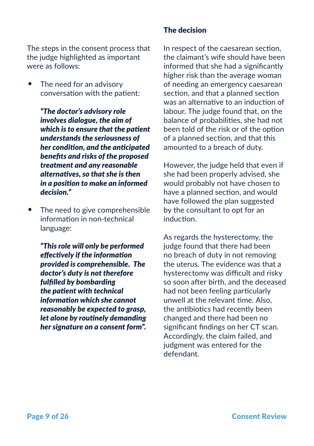The steps in the consent process that the judge highlighted as important were as follows:

The need for an advisory conversation with the patient:

> *"The doctor's advisory role involves dialogue, the aim of which is to ensure that the patient understands the seriousness of her condition, and the anticipated benefits and risks of the proposed treatment and any reasonable alternatives, so that she is then in a position to make an informed decision."*

The need to give comprehensible information in non-technical language:

*"This role will only be performed effectively if the information provided is comprehensible. The doctor's duty is not therefore fulfilled by bombarding the patient with technical information which she cannot reasonably be expected to grasp, let alone by routinely demanding her signature on a consent form".*

#### The decision

In respect of the caesarean section, the claimant's wife should have been informed that she had a significantly higher risk than the average woman of needing an emergency caesarean section, and that a planned section was an alternative to an induction of labour. The judge found that, on the balance of probabilities, she had not been told of the risk or of the option of a planned section, and that this amounted to a breach of duty.

However, the judge held that even if she had been properly advised, she would probably not have chosen to have a planned section, and would have followed the plan suggested by the consultant to opt for an induction.

As regards the hysterectomy, the judge found that there had been no breach of duty in not removing the uterus. The evidence was that a hysterectomy was difficult and risky so soon after birth, and the deceased had not been feeling particularly unwell at the relevant time. Also, the antibiotics had recently been changed and there had been no significant findings on her CT scan. Accordingly, the claim failed, and judgment was entered for the defendant.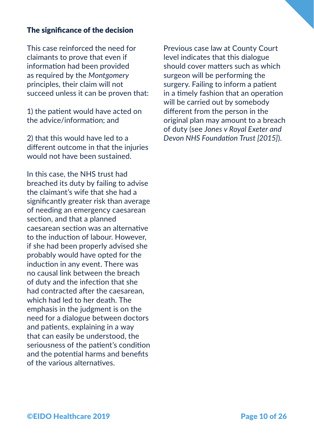#### The significance of the decision

This case reinforced the need for claimants to prove that even if information had been provided as required by the *Montgomery* principles, their claim will not succeed unless it can be proven that:

1) the patient would have acted on the advice/information; and

2) that this would have led to a different outcome in that the injuries would not have been sustained.

In this case, the NHS trust had breached its duty by failing to advise the claimant's wife that she had a significantly greater risk than average of needing an emergency caesarean section, and that a planned caesarean section was an alternative to the induction of labour. However, if she had been properly advised she probably would have opted for the induction in any event. There was no causal link between the breach of duty and the infection that she had contracted after the caesarean, which had led to her death. The emphasis in the judgment is on the need for a dialogue between doctors and patients, explaining in a way that can easily be understood, the seriousness of the patient's condition and the potential harms and benefits of the various alternatives.

Previous case law at County Court level indicates that this dialogue should cover matters such as which surgeon will be performing the surgery. Failing to inform a patient in a timely fashion that an operation will be carried out by somebody different from the person in the original plan may amount to a breach of duty (see *Jones v Royal Exeter and Devon NHS Foundation Trust [2015]*).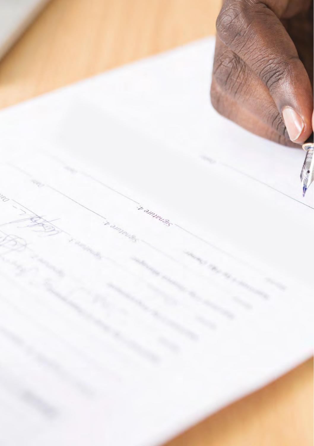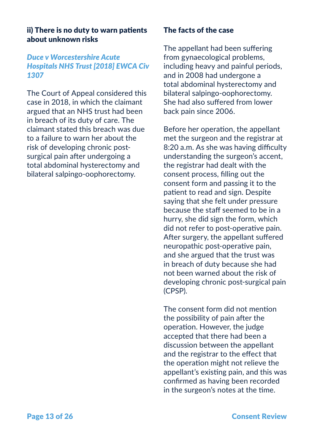#### ii) There is no duty to warn patients about unknown risks

#### *Duce v Worcestershire Acute Hospitals NHS Trust [2018] EWCA Civ 1307*

The Court of Appeal considered this case in 2018, in which the claimant argued that an NHS trust had been in breach of its duty of care. The claimant stated this breach was due to a failure to warn her about the risk of developing chronic postsurgical pain after undergoing a total abdominal hysterectomy and bilateral salpingo-oophorectomy.

#### The facts of the case

The appellant had been suffering from gynaecological problems, including heavy and painful periods, and in 2008 had undergone a total abdominal hysterectomy and bilateral salpingo-oophorectomy. She had also suffered from lower back pain since 2006.

Before her operation, the appellant met the surgeon and the registrar at 8:20 a.m. As she was having difficulty understanding the surgeon's accent, the registrar had dealt with the consent process, filling out the consent form and passing it to the patient to read and sign. Despite saying that she felt under pressure because the staff seemed to be in a hurry, she did sign the form, which did not refer to post-operative pain. After surgery, the appellant suffered neuropathic post-operative pain, and she argued that the trust was in breach of duty because she had not been warned about the risk of developing chronic post-surgical pain (CPSP).

The consent form did not mention the possibility of pain after the operation. However, the judge accepted that there had been a discussion between the appellant and the registrar to the effect that the operation might not relieve the appellant's existing pain, and this was confirmed as having been recorded in the surgeon's notes at the time.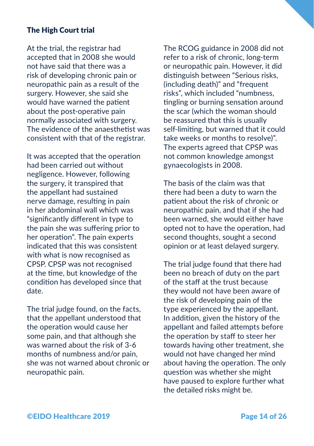#### The High Court trial

At the trial, the registrar had accepted that in 2008 she would not have said that there was a risk of developing chronic pain or neuropathic pain as a result of the surgery. However, she said she would have warned the patient about the post-operative pain normally associated with surgery. The evidence of the anaesthetist was consistent with that of the registrar.

It was accepted that the operation had been carried out without negligence. However, following the surgery, it transpired that the appellant had sustained nerve damage, resulting in pain in her abdominal wall which was "significantly different in type to the pain she was suffering prior to her operation". The pain experts indicated that this was consistent with what is now recognised as CPSP. CPSP was not recognised at the time, but knowledge of the condition has developed since that date.

The trial judge found, on the facts, that the appellant understood that the operation would cause her some pain, and that although she was warned about the risk of 3-6 months of numbness and/or pain, she was not warned about chronic or neuropathic pain.

The RCOG guidance in 2008 did not refer to a risk of chronic, long-term or neuropathic pain. However, it did distinguish between "Serious risks, (including death)" and "frequent risks", which included "numbness, tingling or burning sensation around the scar (which the woman should be reassured that this is usually self-limiting, but warned that it could take weeks or months to resolve)". The experts agreed that CPSP was not common knowledge amongst gynaecologists in 2008.

The basis of the claim was that there had been a duty to warn the patient about the risk of chronic or neuropathic pain, and that if she had been warned, she would either have opted not to have the operation, had second thoughts, sought a second opinion or at least delayed surgery.

The trial judge found that there had been no breach of duty on the part of the staff at the trust because they would not have been aware of the risk of developing pain of the type experienced by the appellant. In addition, given the history of the appellant and failed attempts before the operation by staff to steer her towards having other treatment, she would not have changed her mind about having the operation. The only question was whether she might have paused to explore further what the detailed risks might be.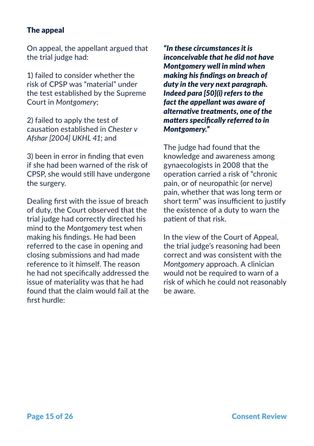#### The appeal

On appeal, the appellant argued that the trial judge had:

1) failed to consider whether the risk of CPSP was "material" under the test established by the Supreme Court in *Montgomery*;

2) failed to apply the test of causation established in *Chester v Afshar [2004] UKHL 41*; and

3) been in error in finding that even if she had been warned of the risk of CPSP, she would still have undergone the surgery.

Dealing first with the issue of breach of duty, the Court observed that the trial judge had correctly directed his mind to the *Montgomery* test when making his findings. He had been referred to the case in opening and closing submissions and had made reference to it himself. The reason he had not specifically addressed the issue of materiality was that he had found that the claim would fail at the first hurdle:

*"In these circumstances it is inconceivable that he did not have Montgomery well in mind when making his findings on breach of duty in the very next paragraph. Indeed para [50](i) refers to the fact the appellant was aware of alternative treatments, one of the matters specifically referred to in Montgomery."*

The judge had found that the knowledge and awareness among gynaecologists in 2008 that the operation carried a risk of "chronic pain, or of neuropathic (or nerve) pain, whether that was long term or short term" was insufficient to justify the existence of a duty to warn the patient of that risk.

In the view of the Court of Appeal, the trial judge's reasoning had been correct and was consistent with the *Montgomery* approach. A clinician would not be required to warn of a risk of which he could not reasonably be aware.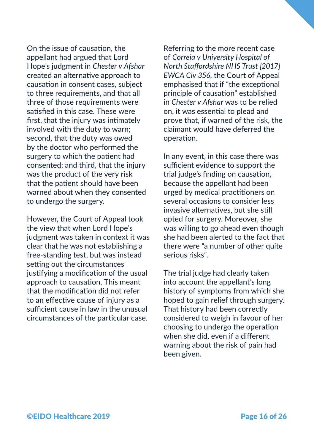On the issue of causation, the appellant had argued that Lord Hope's judgment in *Chester v Afshar*  created an alternative approach to causation in consent cases, subject to three requirements, and that all three of those requirements were satisfied in this case. These were first, that the injury was intimately involved with the duty to warn; second, that the duty was owed by the doctor who performed the surgery to which the patient had consented; and third, that the injury was the product of the very risk that the patient should have been warned about when they consented to undergo the surgery.

However, the Court of Appeal took the view that when Lord Hope's judgment was taken in context it was clear that he was not establishing a free-standing test, but was instead setting out the circumstances justifying a modification of the usual approach to causation. This meant that the modification did not refer to an effective cause of injury as a sufficient cause in law in the unusual circumstances of the particular case.

Referring to the more recent case of *Correia v University Hospital of North Staffordshire NHS Trust [2017] EWCA Civ 356*, the Court of Appeal emphasised that if "the exceptional principle of causation" established in *Chester v Afshar* was to be relied on, it was essential to plead and prove that, if warned of the risk, the claimant would have deferred the operation.

In any event, in this case there was sufficient evidence to support the trial judge's finding on causation, because the appellant had been urged by medical practitioners on several occasions to consider less invasive alternatives, but she still opted for surgery. Moreover, she was willing to go ahead even though she had been alerted to the fact that there were "a number of other quite serious risks".

The trial judge had clearly taken into account the appellant's long history of symptoms from which she hoped to gain relief through surgery. That history had been correctly considered to weigh in favour of her choosing to undergo the operation when she did, even if a different warning about the risk of pain had been given.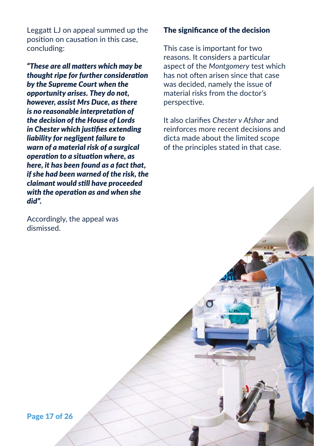Leggatt LJ on appeal summed up the position on causation in this case, concluding:

*"These are all matters which may be thought ripe for further consideration by the Supreme Court when the opportunity arises. They do not, however, assist Mrs Duce, as there is no reasonable interpretation of the decision of the House of Lords in Chester which justifies extending liability for negligent failure to warn of a material risk of a surgical operation to a situation where, as here, it has been found as a fact that, if she had been warned of the risk, the claimant would still have proceeded with the operation as and when she did".*

Accordingly, the appeal was dismissed.

**Page 17 of 26** 

#### The significance of the decision

This case is important for two reasons. It considers a particular aspect of the *Montgomery* test which has not often arisen since that case was decided, namely the issue of material risks from the doctor's perspective.

It also clarifies *Chester v Afshar* and reinforces more recent decisions and dicta made about the limited scope of the principles stated in that case.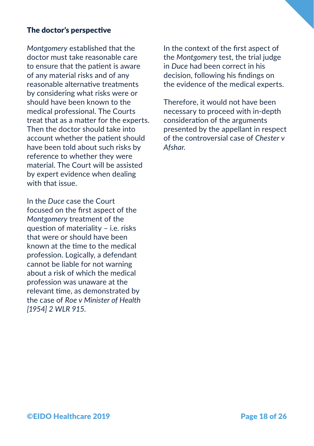#### The doctor's perspective

*Montgomery* established that the doctor must take reasonable care to ensure that the patient is aware of any material risks and of any reasonable alternative treatments by considering what risks were or should have been known to the medical professional. The Courts treat that as a matter for the experts. Then the doctor should take into account whether the patient should have been told about such risks by reference to whether they were material. The Court will be assisted by expert evidence when dealing with that issue.

In the *Duce* case the Court focused on the first aspect of the *Montgomery* treatment of the question of materiality – i.e. risks that were or should have been known at the time to the medical profession. Logically, a defendant cannot be liable for not warning about a risk of which the medical profession was unaware at the relevant time, as demonstrated by the case of *Roe v Minister of Health [1954] 2 WLR 915*.

In the context of the first aspect of the *Montgomery* test, the trial judge in *Duce* had been correct in his decision, following his findings on the evidence of the medical experts.

Therefore, it would not have been necessary to proceed with in-depth consideration of the arguments presented by the appellant in respect of the controversial case of *Chester v Afshar*.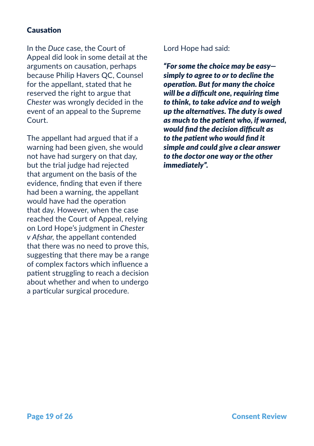#### Causation

In the *Duce* case, the Court of Appeal did look in some detail at the arguments on causation, perhaps because Philip Havers QC, Counsel for the appellant, stated that he reserved the right to argue that *Chester* was wrongly decided in the event of an appeal to the Supreme Court.

The appellant had argued that if a warning had been given, she would not have had surgery on that day, but the trial judge had rejected that argument on the basis of the evidence, finding that even if there had been a warning, the appellant would have had the operation that day. However, when the case reached the Court of Appeal, relying on Lord Hope's judgment in *Chester v Afshar*, the appellant contended that there was no need to prove this, suggesting that there may be a range of complex factors which influence a patient struggling to reach a decision about whether and when to undergo a particular surgical procedure.

#### Lord Hope had said:

*"For some the choice may be easy simply to agree to or to decline the operation. But for many the choice will be a difficult one, requiring time to think, to take advice and to weigh up the alternatives. The duty is owed as much to the patient who, if warned, would find the decision difficult as to the patient who would find it simple and could give a clear answer to the doctor one way or the other immediately".*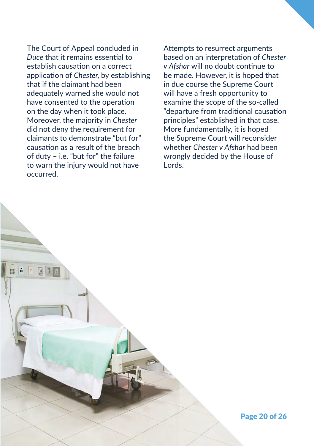The Court of Appeal concluded in *Duce* that it remains essential to establish causation on a correct application of *Chester*, by establishing that if the claimant had been adequately warned she would not have consented to the operation on the day when it took place. Moreover, the majority in *Chester* did not deny the requirement for claimants to demonstrate "but for" causation as a result of the breach of duty – i.e. "but for" the failure to warn the injury would not have occurred.

m i

**B 7 5** 

Attempts to resurrect arguments based on an interpretation of *Chester v Afshar* will no doubt continue to be made. However, it is hoped that in due course the Supreme Court will have a fresh opportunity to examine the scope of the so-called "departure from traditional causation principles" established in that case. More fundamentally, it is hoped the Supreme Court will reconsider whether *Chester v Afshar* had been wrongly decided by the House of Lords.

Page 20 of 26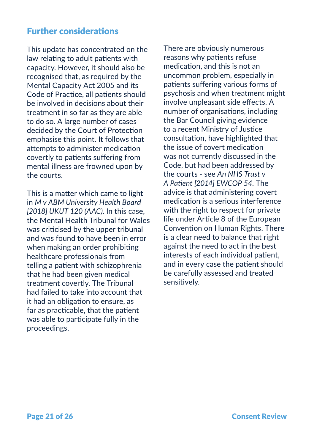# Further considerations

This update has concentrated on the law relating to adult patients with capacity. However, it should also be recognised that, as required by the Mental Capacity Act 2005 and its Code of Practice, all patients should be involved in decisions about their treatment in so far as they are able to do so. A large number of cases decided by the Court of Protection emphasise this point. It follows that attempts to administer medication covertly to patients suffering from mental illness are frowned upon by the courts.

This is a matter which came to light in *M v ABM University Health Board [2018] UKUT 120 (AAC)*. In this case, the Mental Health Tribunal for Wales was criticised by the upper tribunal and was found to have been in error when making an order prohibiting healthcare professionals from telling a patient with schizophrenia that he had been given medical treatment covertly. The Tribunal had failed to take into account that it had an obligation to ensure, as far as practicable, that the patient was able to participate fully in the proceedings.

There are obviously numerous reasons why patients refuse medication, and this is not an uncommon problem, especially in patients suffering various forms of psychosis and when treatment might involve unpleasant side effects. A number of organisations, including the Bar Council giving evidence to a recent Ministry of Justice consultation, have highlighted that the issue of covert medication was not currently discussed in the Code, but had been addressed by the courts - see *An NHS Trust v A Patient [2014] EWCOP 54*. The advice is that administering covert medication is a serious interference with the right to respect for private life under Article 8 of the European Convention on Human Rights. There is a clear need to balance that right against the need to act in the best interests of each individual patient, and in every case the patient should be carefully assessed and treated sensitively.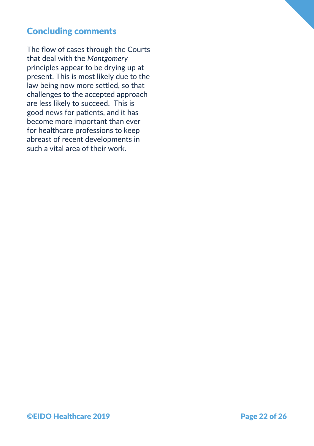# Concluding comments

The flow of cases through the Courts that deal with the *Montgomery* principles appear to be drying up at present. This is most likely due to the law being now more settled, so that challenges to the accepted approach are less likely to succeed. This is good news for patients, and it has become more important than ever for healthcare professions to keep abreast of recent developments in such a vital area of their work.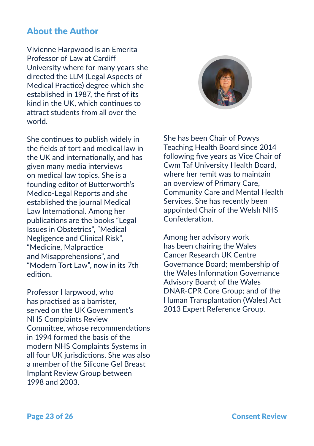# About the Author

Vivienne Harpwood is an Emerita Professor of Law at Cardiff University where for many years she directed the LLM (Legal Aspects of Medical Practice) degree which she established in 1987, the first of its kind in the UK, which continues to attract students from all over the world.

She continues to publish widely in the fields of tort and medical law in the UK and internationally, and has given many media interviews on medical law topics. She is a founding editor of Butterworth's Medico-Legal Reports and she established the journal Medical Law International. Among her publications are the books "Legal Issues in Obstetrics", "Medical Negligence and Clinical Risk", "Medicine, Malpractice and Misapprehensions", and "Modern Tort Law", now in its 7th edition.

Professor Harpwood, who has practised as a barrister, served on the UK Government's NHS Complaints Review Committee, whose recommendations in 1994 formed the basis of the modern NHS Complaints Systems in all four UK jurisdictions. She was also a member of the Silicone Gel Breast Implant Review Group between 1998 and 2003.



She has been Chair of Powys Teaching Health Board since 2014 following five years as Vice Chair of Cwm Taf University Health Board, where her remit was to maintain an overview of Primary Care, Community Care and Mental Health Services. She has recently been appointed Chair of the Welsh NHS Confederation.

Among her advisory work has been chairing the Wales Cancer Research UK Centre Governance Board; membership of the Wales Information Governance Advisory Board; of the Wales DNAR-CPR Core Group; and of the Human Transplantation (Wales) Act 2013 Expert Reference Group.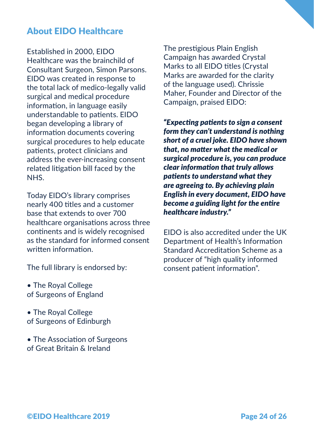# About EIDO Healthcare

Established in 2000, EIDO Healthcare was the brainchild of Consultant Surgeon, Simon Parsons. EIDO was created in response to the total lack of medico-legally valid surgical and medical procedure information, in language easily understandable to patients. EIDO began developing a library of information documents covering surgical procedures to help educate patients, protect clinicians and address the ever-increasing consent related litigation bill faced by the NHS.

Today EIDO's library comprises nearly 400 titles and a customer base that extends to over 700 healthcare organisations across three continents and is widely recognised as the standard for informed consent written information.

The full library is endorsed by:

- The Royal College of Surgeons of England
- The Royal College of Surgeons of Edinburgh
- The Association of Surgeons of Great Britain & Ireland

The prestigious Plain English Campaign has awarded Crystal Marks to all EIDO titles (Crystal Marks are awarded for the clarity of the language used). Chrissie Maher, Founder and Director of the Campaign, praised EIDO:

*"Expecting patients to sign a consent form they can't understand is nothing short of a cruel joke. EIDO have shown that, no matter what the medical or surgical procedure is, you can produce clear information that truly allows patients to understand what they are agreeing to. By achieving plain English in every document, EIDO have become a guiding light for the entire healthcare industry."*

EIDO is also accredited under the UK Department of Health's Information Standard Accreditation Scheme as a producer of "high quality informed consent patient information".